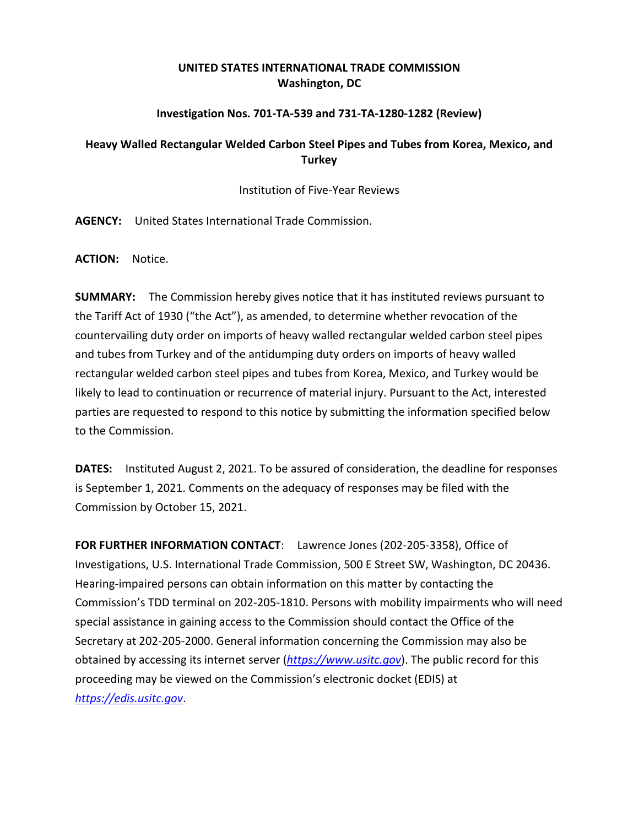## **UNITED STATES INTERNATIONAL TRADE COMMISSION Washington, DC**

#### **Investigation Nos. 701-TA-539 and 731-TA-1280-1282 (Review)**

### **Heavy Walled Rectangular Welded Carbon Steel Pipes and Tubes from Korea, Mexico, and Turkey**

Institution of Five-Year Reviews

**AGENCY:** United States International Trade Commission.

**ACTION:** Notice.

**SUMMARY:** The Commission hereby gives notice that it has instituted reviews pursuant to the Tariff Act of 1930 ("the Act"), as amended, to determine whether revocation of the countervailing duty order on imports of heavy walled rectangular welded carbon steel pipes and tubes from Turkey and of the antidumping duty orders on imports of heavy walled rectangular welded carbon steel pipes and tubes from Korea, Mexico, and Turkey would be likely to lead to continuation or recurrence of material injury. Pursuant to the Act, interested parties are requested to respond to this notice by submitting the information specified below to the Commission.

**DATES:** Instituted August 2, 2021. To be assured of consideration, the deadline for responses is September 1, 2021. Comments on the adequacy of responses may be filed with the Commission by October 15, 2021.

**FOR FURTHER INFORMATION CONTACT**: Lawrence Jones (202-205-3358), Office of Investigations, U.S. International Trade Commission, 500 E Street SW, Washington, DC 20436. Hearing-impaired persons can obtain information on this matter by contacting the Commission's TDD terminal on 202-205-1810. Persons with mobility impairments who will need special assistance in gaining access to the Commission should contact the Office of the Secretary at 202-205-2000. General information concerning the Commission may also be obtained by accessing its internet server (*[https://www.usitc.gov](https://www.usitc.gov/)*). The public record for this proceeding may be viewed on the Commission's electronic docket (EDIS) at *[https://edis.usitc.gov](https://edis.usitc.gov/)*.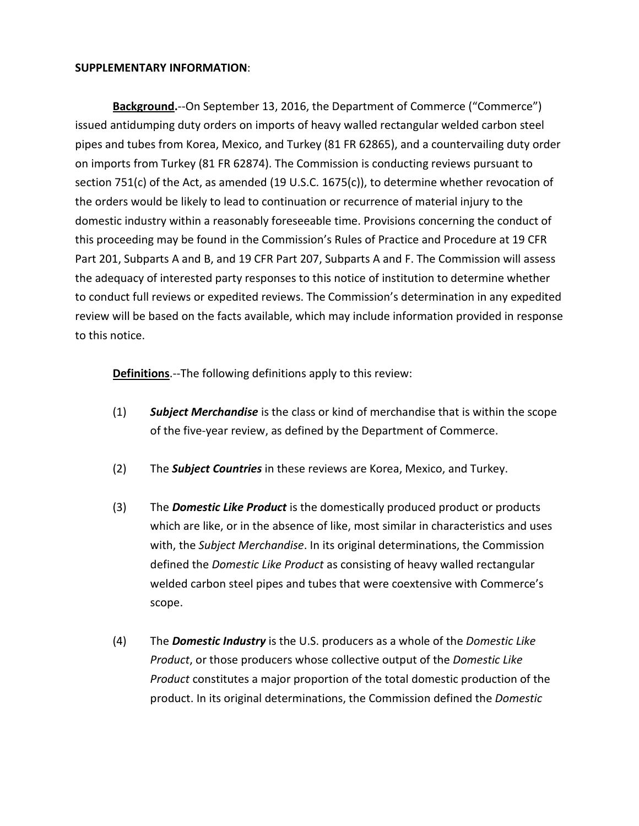#### **SUPPLEMENTARY INFORMATION**:

**Background.**--On September 13, 2016, the Department of Commerce ("Commerce") issued antidumping duty orders on imports of heavy walled rectangular welded carbon steel pipes and tubes from Korea, Mexico, and Turkey (81 FR 62865), and a countervailing duty order on imports from Turkey (81 FR 62874). The Commission is conducting reviews pursuant to section 751(c) of the Act, as amended (19 U.S.C. 1675(c)), to determine whether revocation of the orders would be likely to lead to continuation or recurrence of material injury to the domestic industry within a reasonably foreseeable time. Provisions concerning the conduct of this proceeding may be found in the Commission's Rules of Practice and Procedure at 19 CFR Part 201, Subparts A and B, and 19 CFR Part 207, Subparts A and F. The Commission will assess the adequacy of interested party responses to this notice of institution to determine whether to conduct full reviews or expedited reviews. The Commission's determination in any expedited review will be based on the facts available, which may include information provided in response to this notice.

**Definitions**.--The following definitions apply to this review:

- (1) *Subject Merchandise* is the class or kind of merchandise that is within the scope of the five-year review, as defined by the Department of Commerce.
- (2) The *Subject Countries* in these reviews are Korea, Mexico, and Turkey.
- (3) The *Domestic Like Product* is the domestically produced product or products which are like, or in the absence of like, most similar in characteristics and uses with, the *Subject Merchandise*. In its original determinations, the Commission defined the *Domestic Like Product* as consisting of heavy walled rectangular welded carbon steel pipes and tubes that were coextensive with Commerce's scope.
- (4) The *Domestic Industry* is the U.S. producers as a whole of the *Domestic Like Product*, or those producers whose collective output of the *Domestic Like Product* constitutes a major proportion of the total domestic production of the product. In its original determinations, the Commission defined the *Domestic*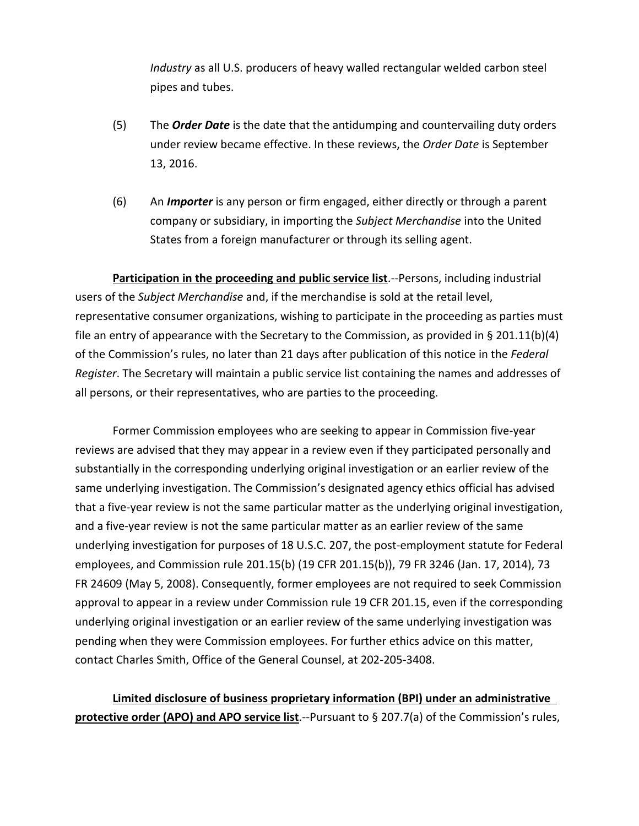*Industry* as all U.S. producers of heavy walled rectangular welded carbon steel pipes and tubes.

- (5) The *Order Date* is the date that the antidumping and countervailing duty orders under review became effective. In these reviews, the *Order Date* is September 13, 2016.
- (6) An *Importer* is any person or firm engaged, either directly or through a parent company or subsidiary, in importing the *Subject Merchandise* into the United States from a foreign manufacturer or through its selling agent.

**Participation in the proceeding and public service list**.--Persons, including industrial users of the *Subject Merchandise* and, if the merchandise is sold at the retail level, representative consumer organizations, wishing to participate in the proceeding as parties must file an entry of appearance with the Secretary to the Commission, as provided in § 201.11(b)(4) of the Commission's rules, no later than 21 days after publication of this notice in the *Federal Register*. The Secretary will maintain a public service list containing the names and addresses of all persons, or their representatives, who are parties to the proceeding.

Former Commission employees who are seeking to appear in Commission five-year reviews are advised that they may appear in a review even if they participated personally and substantially in the corresponding underlying original investigation or an earlier review of the same underlying investigation. The Commission's designated agency ethics official has advised that a five-year review is not the same particular matter as the underlying original investigation, and a five-year review is not the same particular matter as an earlier review of the same underlying investigation for purposes of 18 U.S.C. 207, the post-employment statute for Federal employees, and Commission rule 201.15(b) (19 CFR 201.15(b)), 79 FR 3246 (Jan. 17, 2014), 73 FR 24609 (May 5, 2008). Consequently, former employees are not required to seek Commission approval to appear in a review under Commission rule 19 CFR 201.15, even if the corresponding underlying original investigation or an earlier review of the same underlying investigation was pending when they were Commission employees. For further ethics advice on this matter, contact Charles Smith, Office of the General Counsel, at 202-205-3408.

# **Limited disclosure of business proprietary information (BPI) under an administrative protective order (APO) and APO service list**.--Pursuant to § 207.7(a) of the Commission's rules,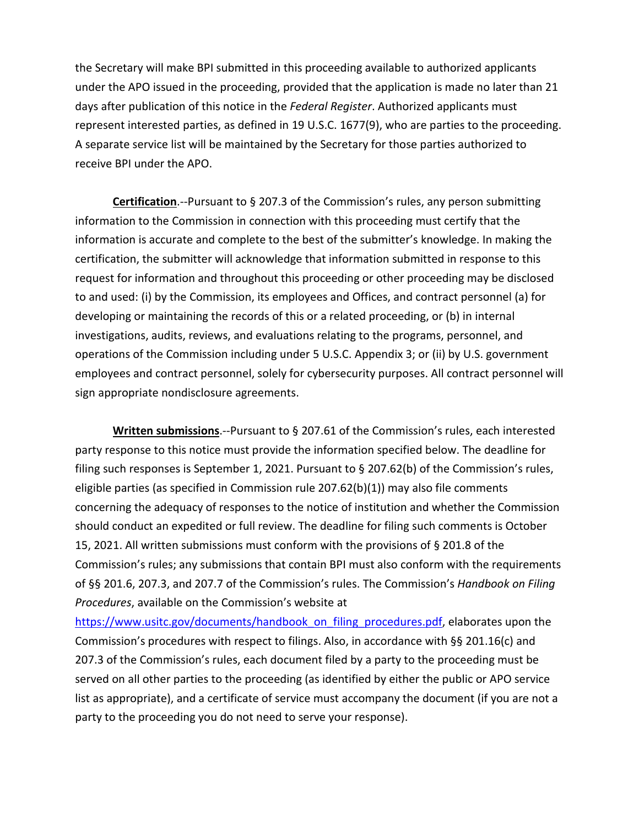the Secretary will make BPI submitted in this proceeding available to authorized applicants under the APO issued in the proceeding, provided that the application is made no later than 21 days after publication of this notice in the *Federal Register*. Authorized applicants must represent interested parties, as defined in 19 U.S.C. 1677(9), who are parties to the proceeding. A separate service list will be maintained by the Secretary for those parties authorized to receive BPI under the APO.

**Certification**.--Pursuant to § 207.3 of the Commission's rules, any person submitting information to the Commission in connection with this proceeding must certify that the information is accurate and complete to the best of the submitter's knowledge. In making the certification, the submitter will acknowledge that information submitted in response to this request for information and throughout this proceeding or other proceeding may be disclosed to and used: (i) by the Commission, its employees and Offices, and contract personnel (a) for developing or maintaining the records of this or a related proceeding, or (b) in internal investigations, audits, reviews, and evaluations relating to the programs, personnel, and operations of the Commission including under 5 U.S.C. Appendix 3; or (ii) by U.S. government employees and contract personnel, solely for cybersecurity purposes. All contract personnel will sign appropriate nondisclosure agreements.

**Written submissions**.--Pursuant to § 207.61 of the Commission's rules, each interested party response to this notice must provide the information specified below. The deadline for filing such responses is September 1, 2021. Pursuant to § 207.62(b) of the Commission's rules, eligible parties (as specified in Commission rule 207.62(b)(1)) may also file comments concerning the adequacy of responses to the notice of institution and whether the Commission should conduct an expedited or full review. The deadline for filing such comments is October 15, 2021. All written submissions must conform with the provisions of § 201.8 of the Commission's rules; any submissions that contain BPI must also conform with the requirements of §§ 201.6, 207.3, and 207.7 of the Commission's rules. The Commission's *Handbook on Filing Procedures*, available on the Commission's website at

[https://www.usitc.gov/documents/handbook\\_on\\_filing\\_procedures.pdf,](https://www.usitc.gov/documents/handbook_on_filing_procedures.pdf) elaborates upon the Commission's procedures with respect to filings. Also, in accordance with §§ 201.16(c) and 207.3 of the Commission's rules, each document filed by a party to the proceeding must be served on all other parties to the proceeding (as identified by either the public or APO service list as appropriate), and a certificate of service must accompany the document (if you are not a party to the proceeding you do not need to serve your response).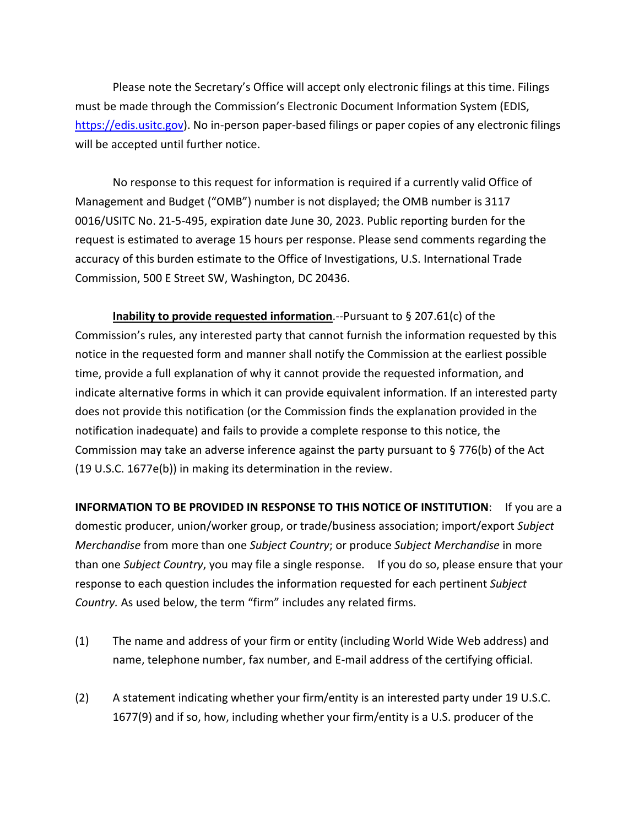Please note the Secretary's Office will accept only electronic filings at this time. Filings must be made through the Commission's Electronic Document Information System (EDIS, [https://edis.usitc.gov\)](https://edis.usitc.gov/). No in-person paper-based filings or paper copies of any electronic filings will be accepted until further notice.

No response to this request for information is required if a currently valid Office of Management and Budget ("OMB") number is not displayed; the OMB number is 3117 0016/USITC No. 21-5-495, expiration date June 30, 2023. Public reporting burden for the request is estimated to average 15 hours per response. Please send comments regarding the accuracy of this burden estimate to the Office of Investigations, U.S. International Trade Commission, 500 E Street SW, Washington, DC 20436.

**Inability to provide requested information**.--Pursuant to § 207.61(c) of the Commission's rules, any interested party that cannot furnish the information requested by this notice in the requested form and manner shall notify the Commission at the earliest possible time, provide a full explanation of why it cannot provide the requested information, and indicate alternative forms in which it can provide equivalent information. If an interested party does not provide this notification (or the Commission finds the explanation provided in the notification inadequate) and fails to provide a complete response to this notice, the Commission may take an adverse inference against the party pursuant to § 776(b) of the Act (19 U.S.C. 1677e(b)) in making its determination in the review.

**INFORMATION TO BE PROVIDED IN RESPONSE TO THIS NOTICE OF INSTITUTION**: If you are a domestic producer, union/worker group, or trade/business association; import/export *Subject Merchandise* from more than one *Subject Country*; or produce *Subject Merchandise* in more than one *Subject Country*, you may file a single response. If you do so, please ensure that your response to each question includes the information requested for each pertinent *Subject Country.* As used below, the term "firm" includes any related firms.

- (1) The name and address of your firm or entity (including World Wide Web address) and name, telephone number, fax number, and E-mail address of the certifying official.
- (2) A statement indicating whether your firm/entity is an interested party under 19 U.S.C. 1677(9) and if so, how, including whether your firm/entity is a U.S. producer of the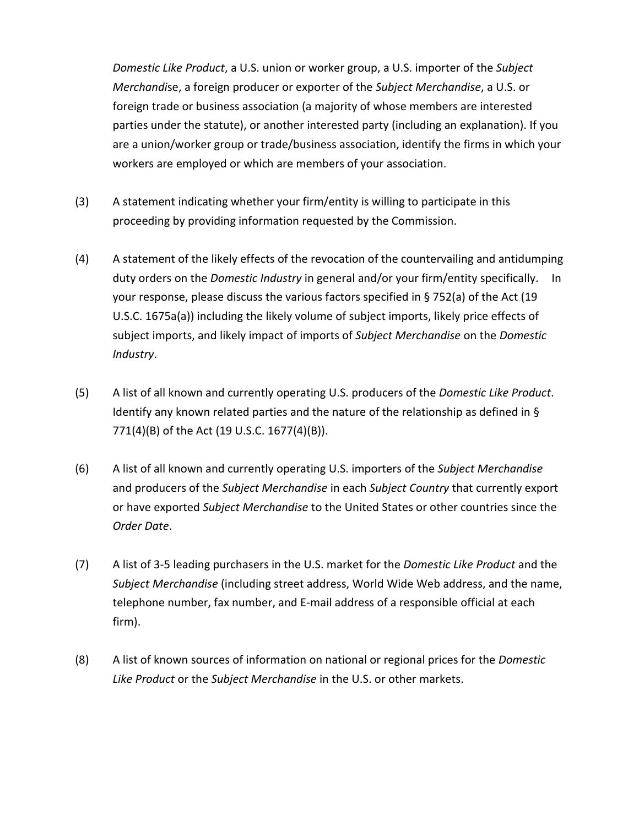*Domestic Like Product*, a U.S. union or worker group, a U.S. importer of the *Subject Merchandi*se, a foreign producer or exporter of the *Subject Merchandise*, a U.S. or foreign trade or business association (a majority of whose members are interested parties under the statute), or another interested party (including an explanation). If you are a union/worker group or trade/business association, identify the firms in which your workers are employed or which are members of your association.

- (3) A statement indicating whether your firm/entity is willing to participate in this proceeding by providing information requested by the Commission.
- (4) A statement of the likely effects of the revocation of the countervailing and antidumping duty orders on the *Domestic Industry* in general and/or your firm/entity specifically. In your response, please discuss the various factors specified in § 752(a) of the Act (19 U.S.C. 1675a(a)) including the likely volume of subject imports, likely price effects of subject imports, and likely impact of imports of *Subject Merchandise* on the *Domestic Industry*.
- (5) A list of all known and currently operating U.S. producers of the *Domestic Like Product*. Identify any known related parties and the nature of the relationship as defined in § 771(4)(B) of the Act (19 U.S.C. 1677(4)(B)).
- (6) A list of all known and currently operating U.S. importers of the *Subject Merchandise* and producers of the *Subject Merchandise* in each *Subject Country* that currently export or have exported *Subject Merchandise* to the United States or other countries since the *Order Date*.
- (7) A list of 3-5 leading purchasers in the U.S. market for the *Domestic Like Product* and the *Subject Merchandise* (including street address, World Wide Web address, and the name, telephone number, fax number, and E-mail address of a responsible official at each firm).
- (8) A list of known sources of information on national or regional prices for the *Domestic Like Product* or the *Subject Merchandise* in the U.S. or other markets.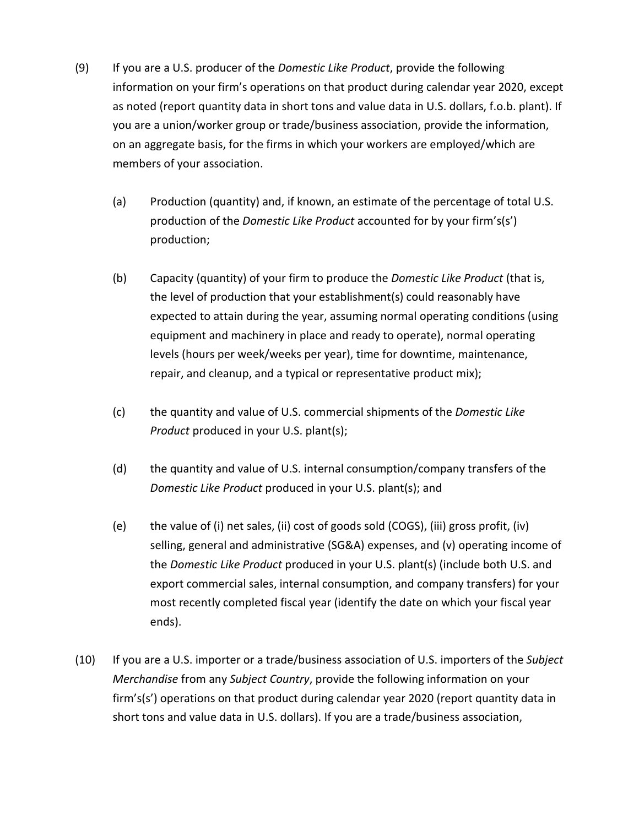- (9) If you are a U.S. producer of the *Domestic Like Product*, provide the following information on your firm's operations on that product during calendar year 2020, except as noted (report quantity data in short tons and value data in U.S. dollars, f.o.b. plant). If you are a union/worker group or trade/business association, provide the information, on an aggregate basis, for the firms in which your workers are employed/which are members of your association.
	- (a) Production (quantity) and, if known, an estimate of the percentage of total U.S. production of the *Domestic Like Product* accounted for by your firm's(s') production;
	- (b) Capacity (quantity) of your firm to produce the *Domestic Like Product* (that is, the level of production that your establishment(s) could reasonably have expected to attain during the year, assuming normal operating conditions (using equipment and machinery in place and ready to operate), normal operating levels (hours per week/weeks per year), time for downtime, maintenance, repair, and cleanup, and a typical or representative product mix);
	- (c) the quantity and value of U.S. commercial shipments of the *Domestic Like Product* produced in your U.S. plant(s);
	- (d) the quantity and value of U.S. internal consumption/company transfers of the *Domestic Like Product* produced in your U.S. plant(s); and
	- (e) the value of (i) net sales, (ii) cost of goods sold (COGS), (iii) gross profit, (iv) selling, general and administrative (SG&A) expenses, and (v) operating income of the *Domestic Like Product* produced in your U.S. plant(s) (include both U.S. and export commercial sales, internal consumption, and company transfers) for your most recently completed fiscal year (identify the date on which your fiscal year ends).
- (10) If you are a U.S. importer or a trade/business association of U.S. importers of the *Subject Merchandise* from any *Subject Country*, provide the following information on your firm's(s') operations on that product during calendar year 2020 (report quantity data in short tons and value data in U.S. dollars). If you are a trade/business association,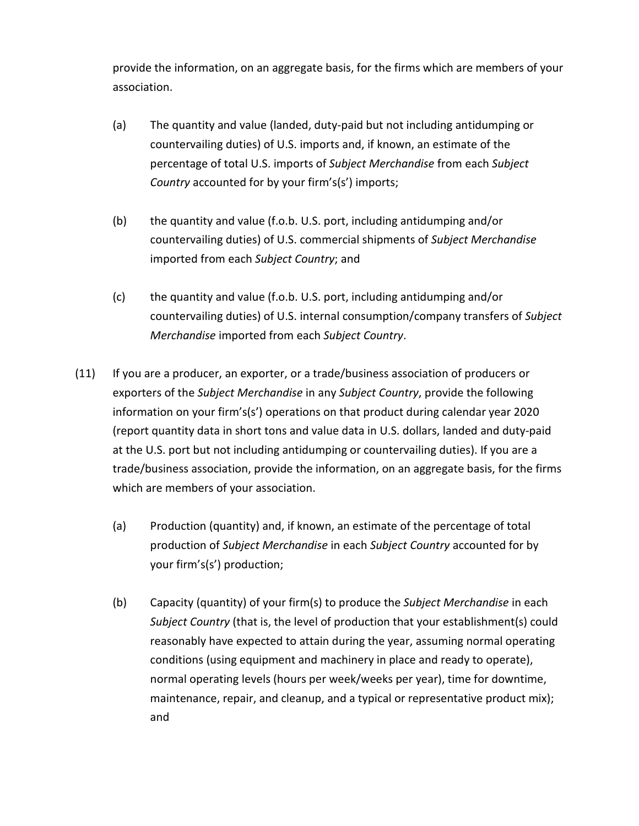provide the information, on an aggregate basis, for the firms which are members of your association.

- (a) The quantity and value (landed, duty-paid but not including antidumping or countervailing duties) of U.S. imports and, if known, an estimate of the percentage of total U.S. imports of *Subject Merchandise* from each *Subject Country* accounted for by your firm's(s') imports;
- (b) the quantity and value (f.o.b. U.S. port, including antidumping and/or countervailing duties) of U.S. commercial shipments of *Subject Merchandise* imported from each *Subject Country*; and
- (c) the quantity and value (f.o.b. U.S. port, including antidumping and/or countervailing duties) of U.S. internal consumption/company transfers of *Subject Merchandise* imported from each *Subject Country*.
- (11) If you are a producer, an exporter, or a trade/business association of producers or exporters of the *Subject Merchandise* in any *Subject Country*, provide the following information on your firm's(s') operations on that product during calendar year 2020 (report quantity data in short tons and value data in U.S. dollars, landed and duty-paid at the U.S. port but not including antidumping or countervailing duties). If you are a trade/business association, provide the information, on an aggregate basis, for the firms which are members of your association.
	- (a) Production (quantity) and, if known, an estimate of the percentage of total production of *Subject Merchandise* in each *Subject Country* accounted for by your firm's(s') production;
	- (b) Capacity (quantity) of your firm(s) to produce the *Subject Merchandise* in each *Subject Country* (that is, the level of production that your establishment(s) could reasonably have expected to attain during the year, assuming normal operating conditions (using equipment and machinery in place and ready to operate), normal operating levels (hours per week/weeks per year), time for downtime, maintenance, repair, and cleanup, and a typical or representative product mix); and